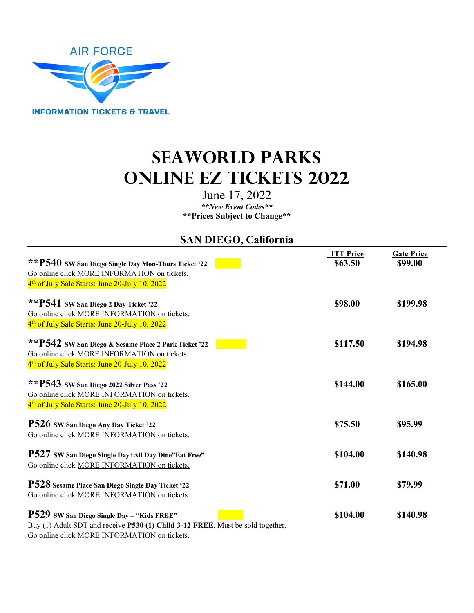

# **SeaWorld Parks Online EZ Tickets 2022**

June 17, 2022 *\*\*New Event Codes\*\** **\*\*Prices Subject to Change\*\*** 

## **SAN DIEGO, California**

|                                                                                | <b>ITT Price</b> | <b>Gate Price</b> |
|--------------------------------------------------------------------------------|------------------|-------------------|
| **P540 SW San Diego Single Day Mon-Thurs Ticket '22                            | \$63.50          | \$99.00           |
| Go online click MORE INFORMATION on tickets.                                   |                  |                   |
| 4 <sup>th</sup> of July Sale Starts: June 20-July 10, 2022                     |                  |                   |
| **P541 SW San Diego 2 Day Ticket '22                                           | \$98.00          | \$199.98          |
| Go online click MORE INFORMATION on tickets.                                   |                  |                   |
| 4 <sup>th</sup> of July Sale Starts: June 20-July 10, 2022                     |                  |                   |
| **P542 SW San Diego & Sesame Place 2 Park Ticket '22                           | \$117.50         | \$194.98          |
| Go online click MORE INFORMATION on tickets.                                   |                  |                   |
| 4 <sup>th</sup> of July Sale Starts: June 20-July 10, 2022                     |                  |                   |
| ** P543 SW San Diego 2022 Silver Pass '22                                      | \$144.00         | \$165.00          |
| Go online click MORE INFORMATION on tickets.                                   |                  |                   |
| 4 <sup>th</sup> of July Sale Starts: June 20-July 10, 2022                     |                  |                   |
| P526 SW San Diego Any Day Ticket '22                                           | \$75.50          | \$95.99           |
| Go online click MORE INFORMATION on tickets.                                   |                  |                   |
| <b>P527</b> SW San Diego Single Day+All Day Dine"Eat Free"                     | \$104.00         | \$140.98          |
| Go online click MORE INFORMATION on tickets.                                   |                  |                   |
| P528 Sesame Place San Diego Single Day Ticket '22                              | \$71.00          | \$79.99           |
| Go online click MORE INFORMATION on tickets                                    |                  |                   |
| <b>P529</b> SW San Diego Single Day - "Kids FREE"                              | \$104.00         | \$140.98          |
| Buy (1) Adult SDT and receive P530 (1) Child 3-12 FREE. Must be sold together. |                  |                   |
|                                                                                |                  |                   |

Go online click MORE INFORMATION on tickets.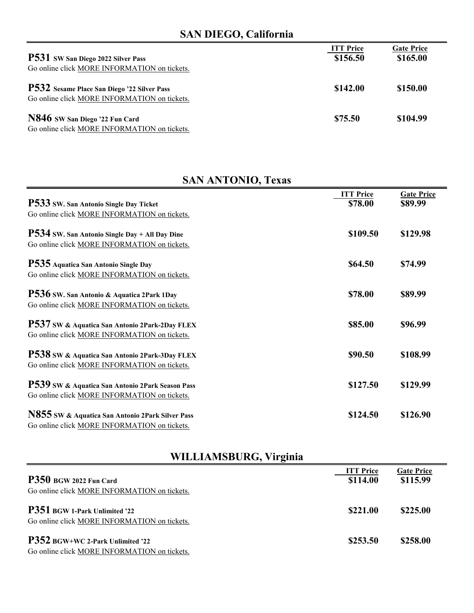# **SAN DIEGO, California**

| P531 SW San Diego 2022 Silver Pass<br>Go online click MORE INFORMATION on tickets.          | <b>ITT Price</b><br>\$156.50 | <b>Gate Price</b><br>\$165.00 |
|---------------------------------------------------------------------------------------------|------------------------------|-------------------------------|
| P532 Sesame Place San Diego '22 Silver Pass<br>Go online click MORE INFORMATION on tickets. | \$142.00                     | \$150.00                      |
| N846 SW San Diego '22 Fun Card<br>Go online click MORE INFORMATION on tickets.              | \$75.50                      | \$104.99                      |

# **SAN ANTONIO, Texas**

|                                                  | <b>ITT</b> Price | <b>Gate Price</b> |
|--------------------------------------------------|------------------|-------------------|
| P533 SW. San Antonio Single Day Ticket           | \$78.00          | \$89.99           |
| Go online click MORE INFORMATION on tickets.     |                  |                   |
| $P534$ SW. San Antonio Single Day + All Day Dine | \$109.50         | \$129.98          |
| Go online click MORE INFORMATION on tickets.     |                  |                   |
| P535 Aquatica San Antonio Single Day             | \$64.50          | \$74.99           |
| Go online click MORE INFORMATION on tickets.     |                  |                   |
| P536 SW. San Antonio & Aquatica 2Park 1Day       | \$78.00          | \$89.99           |
| Go online click MORE INFORMATION on tickets.     |                  |                   |
| P537 SW & Aquatica San Antonio 2Park-2Day FLEX   | \$85.00          | \$96.99           |
| Go online click MORE INFORMATION on tickets.     |                  |                   |
| P538 SW & Aquatica San Antonio 2Park-3Day FLEX   | \$90.50          | \$108.99          |
| Go online click MORE INFORMATION on tickets.     |                  |                   |
| P539 SW & Aquatica San Antonio 2Park Season Pass | \$127.50         | \$129.99          |
| Go online click MORE INFORMATION on tickets.     |                  |                   |
| N855 SW & Aquatica San Antonio 2Park Silver Pass | \$124.50         | \$126.90          |
| Go online click MORE INFORMATION on tickets.     |                  |                   |

# **WILLIAMSBURG, Virginia**

| P350 BGW 2022 Fun Card<br>Go online click MORE INFORMATION on tickets.           | <b>ITT Price</b><br>\$114.00 | <b>Gate Price</b><br>\$115.99 |
|----------------------------------------------------------------------------------|------------------------------|-------------------------------|
| P351 BGW 1-Park Unlimited '22<br>Go online click MORE INFORMATION on tickets.    | \$221.00                     | \$225.00                      |
| P352 BGW+WC 2-Park Unlimited '22<br>Go online click MORE INFORMATION on tickets. | \$253.50                     | \$258.00                      |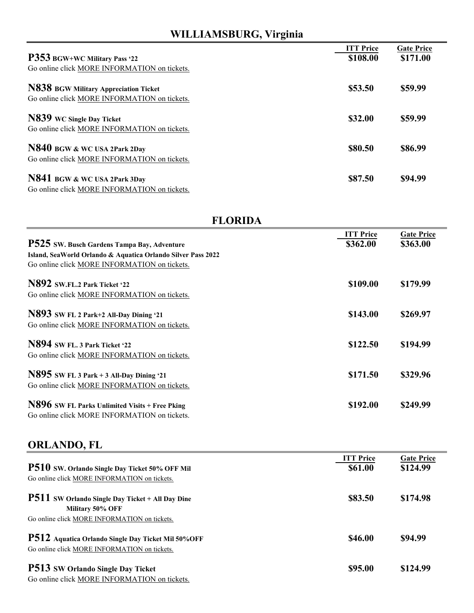# **WILLIAMSBURG, Virginia**

| P353 BGW+WC Military Pass '22<br>Go online click MORE INFORMATION on tickets.         | <b>ITT Price</b><br>\$108.00 | <b>Gate Price</b><br>\$171.00 |
|---------------------------------------------------------------------------------------|------------------------------|-------------------------------|
| N838 BGW Military Appreciation Ticket<br>Go online click MORE INFORMATION on tickets. | \$53.50                      | \$59.99                       |
| N839 WC Single Day Ticket<br>Go online click MORE INFORMATION on tickets.             | \$32.00                      | \$59.99                       |
| N840 BGW & WC USA 2Park 2Day<br>Go online click MORE INFORMATION on tickets.          | \$80.50                      | \$86.99                       |
| N841 BGW & WC USA 2Park 3Day<br>Go online click MORE INFORMATION on tickets.          | \$87.50                      | \$94.99                       |

#### **FLORIDA**

|                                                              | <b>ITT</b> Price | <b>Gate Price</b> |
|--------------------------------------------------------------|------------------|-------------------|
| P525 SW. Busch Gardens Tampa Bay, Adventure                  | \$362.00         | \$363.00          |
| Island, SeaWorld Orlando & Aquatica Orlando Silver Pass 2022 |                  |                   |
| Go online click MORE INFORMATION on tickets.                 |                  |                   |
| N892 SW.FL.2 Park Ticket '22                                 | \$109.00         | \$179.99          |
| Go online click MORE INFORMATION on tickets.                 |                  |                   |
| N893 SW FL 2 Park+2 All-Day Dining '21                       | \$143.00         | \$269.97          |
| Go online click MORE INFORMATION on tickets.                 |                  |                   |
| N894 SW FL. 3 Park Ticket '22                                | \$122.50         | \$194.99          |
| Go online click MORE INFORMATION on tickets.                 |                  |                   |
| N895 SW FL 3 Park + 3 All-Day Dining '21                     | \$171.50         | \$329.96          |
| Go online click MORE INFORMATION on tickets.                 |                  |                   |
|                                                              |                  |                   |
| N896 SW FL Parks Unlimited Visits + Free Pking               | \$192.00         | \$249.99          |
| Go online click MORE INFORMATION on tickets.                 |                  |                   |

## **ORLANDO, FL**

| P510 SW. Orlando Single Day Ticket 50% OFF Mil<br>Go online click MORE INFORMATION on tickets.                              | <b>ITT Price</b><br>\$61.00 | <b>Gate Price</b><br>\$124.99 |
|-----------------------------------------------------------------------------------------------------------------------------|-----------------------------|-------------------------------|
| <b>P511</b> SW Orlando Single Day Ticket + All Day Dine<br>Military 50% OFF<br>Go online click MORE INFORMATION on tickets. | \$83.50                     | \$174.98                      |
| P512 Aquatica Orlando Single Day Ticket Mil 50%OFF<br>Go online click MORE INFORMATION on tickets.                          | \$46.00                     | \$94.99                       |
| P513 SW Orlando Single Day Ticket<br>Go online click MORE INFORMATION on tickets.                                           | \$95.00                     | \$124.99                      |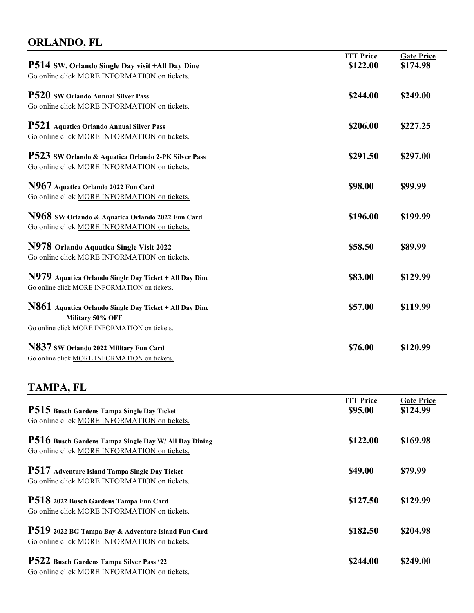#### **ORLANDO, FL**

|                                                        | <b>ITT Price</b> | <b>Gate Price</b> |
|--------------------------------------------------------|------------------|-------------------|
| <b>P514 SW. Orlando Single Day visit +All Day Dine</b> | \$122.00         | \$174.98          |
| Go online click MORE INFORMATION on tickets.           |                  |                   |
| <b>P520</b> SW Orlando Annual Silver Pass              | \$244.00         | \$249.00          |
| Go online click MORE INFORMATION on tickets.           |                  |                   |
| P521 Aquatica Orlando Annual Silver Pass               | \$206.00         | \$227.25          |
| Go online click MORE INFORMATION on tickets.           |                  |                   |
| P523 SW Orlando & Aquatica Orlando 2-PK Silver Pass    | \$291.50         | \$297.00          |
| Go online click MORE INFORMATION on tickets.           |                  |                   |
| N967 Aquatica Orlando 2022 Fun Card                    | \$98.00          | \$99.99           |
| Go online click MORE INFORMATION on tickets.           |                  |                   |
| N968 SW Orlando & Aquatica Orlando 2022 Fun Card       | \$196.00         | \$199.99          |
| Go online click MORE INFORMATION on tickets.           |                  |                   |
| N978 Orlando Aquatica Single Visit 2022                | \$58.50          | \$89.99           |
| Go online click MORE INFORMATION on tickets.           |                  |                   |
| N979 Aquatica Orlando Single Day Ticket + All Day Dine | \$83.00          | \$129.99          |
| Go online click MORE INFORMATION on tickets.           |                  |                   |
| N861 Aquatica Orlando Single Day Ticket + All Day Dine | \$57.00          | \$119.99          |
| Military 50% OFF                                       |                  |                   |
| Go online click MORE INFORMATION on tickets.           |                  |                   |
| N837 SW Orlando 2022 Military Fun Card                 | \$76.00          | \$120.99          |
| Go online click MORE INFORMATION on tickets.           |                  |                   |

#### **TAMPA, FL**

|                                                              | <b>ITT Price</b> | <b>Gate Price</b> |
|--------------------------------------------------------------|------------------|-------------------|
| <b>P515</b> Busch Gardens Tampa Single Day Ticket            | \$95.00          | \$124.99          |
| Go online click MORE INFORMATION on tickets.                 |                  |                   |
| <b>P516</b> Busch Gardens Tampa Single Day W/ All Day Dining | \$122.00         | \$169.98          |
| Go online click MORE INFORMATION on tickets.                 |                  |                   |
| <b>P517</b> Adventure Island Tampa Single Day Ticket         | \$49.00          | \$79.99           |
| Go online click MORE INFORMATION on tickets.                 |                  |                   |
| P518 2022 Busch Gardens Tampa Fun Card                       | \$127.50         | \$129.99          |
| Go online click MORE INFORMATION on tickets.                 |                  |                   |
| P519 2022 BG Tampa Bay & Adventure Island Fun Card           | \$182.50         | \$204.98          |
| Go online click MORE INFORMATION on tickets.                 |                  |                   |
| P522 Busch Gardens Tampa Silver Pass '22                     | \$244.00         | \$249.00          |
| $\alpha$ if it is a to international states.                 |                  |                   |

Go online click MORE INFORMATION on tickets.